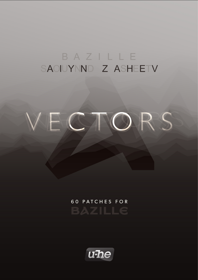# BAZILLE SAOIUYNND Z ASHEETV



60 PATCHES FOR **BAZILLE** 

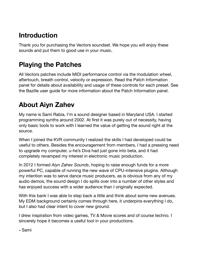### **Introduction**

Thank you for purchasing the Vectors soundset. We hope you will enjoy these sounds and put them to good use in your music.

### **Playing the Patches**

All Vectors patches include MIDI performance control via the modulation wheel, aftertouch, breath control, velocity or expression. Read the Patch Information panel for details about availability and usage of these controls for each preset. See the Bazille user guide for more information about the Patch Information panel.

## **About Aiyn Zahev**

My name is Sami Rabia, I'm a sound designer based in Maryland USA. I started programming synths around 2002. At first it was purely out of necessity, having only basic tools to work with I learned the value of getting the sound right at the source.

When I joined the KVR community I realized the skills I had developed could be useful to others. Besides the encouragement from members, I had a pressing need to upgrade my computer, u-he's Diva had just gone into beta, and it had completely revamped my interest in electronic music production.

In 2012 I formed *Aiyn Zahev Sounds*, hoping to raise enough funds for a more powerful PC, capable of running the new wave of CPU-intensive plugins. Although my intention was to serve dance music producers, as is obvious from any of my audio demos, the sound design I do spills over into a number of other styles and has enjoyed success with a wider audience than I originally expected.

With this bank I was able to step back a little and think about some new avenues. My EDM background certainly comes through here, it underpins everything I do, but I also had clear intent to cover new ground.

I drew inspiration from video games, TV & Movie scores and of course techno. I sincerely hope it becomes a useful tool in your productions.

**-** Sami